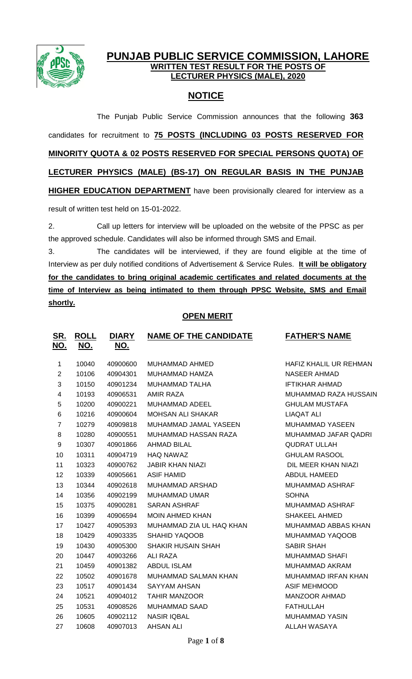

## **PUNJAB PUBLIC SERVICE COMMISSION, LAHORE WRITTEN TEST RESULT FOR THE POSTS OF LECTURER PHYSICS (MALE), 2020**

# **NOTICE**

The Punjab Public Service Commission announces that the following **363** candidates for recruitment to **75 POSTS (INCLUDING 03 POSTS RESERVED FOR MINORITY QUOTA & 02 POSTS RESERVED FOR SPECIAL PERSONS QUOTA) OF LECTURER PHYSICS (MALE) (BS-17) ON REGULAR BASIS IN THE PUNJAB HIGHER EDUCATION DEPARTMENT** have been provisionally cleared for interview as a result of written test held on 15-01-2022.

2. Call up letters for interview will be uploaded on the website of the PPSC as per the approved schedule. Candidates will also be informed through SMS and Email.

3. The candidates will be interviewed, if they are found eligible at the time of Interview as per duly notified conditions of Advertisement & Service Rules. **It will be obligatory for the candidates to bring original academic certificates and related documents at the time of Interview as being intimated to them through PPSC Website, SMS and Email shortly.**

## **OPEN MERIT**

| <u>SR.</u><br>NO.        | <b>ROLL</b><br>NO. | <b>DIARY</b><br>NO. | <b>NAME OF THE CANDIDATE</b> | <b>FATHER'S NAME</b>       |
|--------------------------|--------------------|---------------------|------------------------------|----------------------------|
| 1                        | 10040              | 40900600            | MUHAMMAD AHMED               | HAFIZ KHALIL UR REHMAN     |
| $\overline{2}$           | 10106              | 40904301            | MUHAMMAD HAMZA               | <b>NASEER AHMAD</b>        |
| 3                        | 10150              | 40901234            | MUHAMMAD TALHA               | <b>IFTIKHAR AHMAD</b>      |
| $\overline{\mathcal{A}}$ | 10193              | 40906531            | AMIR RAZA                    | MUHAMMAD RAZA HUSSAIN      |
| 5                        | 10200              | 40900221            | MUHAMMAD ADEEL               | <b>GHULAM MUSTAFA</b>      |
| 6                        | 10216              | 40900604            | <b>MOHSAN ALI SHAKAR</b>     | <b>LIAQAT ALI</b>          |
| $\overline{7}$           | 10279              | 40909818            | MUHAMMAD JAMAL YASEEN        | MUHAMMAD YASEEN            |
| 8                        | 10280              | 40900551            | MUHAMMAD HASSAN RAZA         | MUHAMMAD JAFAR QADRI       |
| 9                        | 10307              | 40901866            | <b>AHMAD BILAL</b>           | <b>QUDRAT ULLAH</b>        |
| 10                       | 10311              | 40904719            | <b>HAQ NAWAZ</b>             | <b>GHULAM RASOOL</b>       |
| 11                       | 10323              | 40900762            | <b>JABIR KHAN NIAZI</b>      | DIL MEER KHAN NIAZI        |
| 12                       | 10339              | 40905661            | <b>ASIF HAMID</b>            | <b>ABDUL HAMEED</b>        |
| 13                       | 10344              | 40902618            | <b>MUHAMMAD ARSHAD</b>       | MUHAMMAD ASHRAF            |
| 14                       | 10356              | 40902199            | <b>MUHAMMAD UMAR</b>         | <b>SOHNA</b>               |
| 15                       | 10375              | 40900281            | <b>SARAN ASHRAF</b>          | <b>MUHAMMAD ASHRAF</b>     |
| 16                       | 10399              | 40906594            | <b>MOIN AHMED KHAN</b>       | <b>SHAKEEL AHMED</b>       |
| 17                       | 10427              | 40905393            | MUHAMMAD ZIA UL HAQ KHAN     | MUHAMMAD ABBAS KHAN        |
| 18                       | 10429              | 40903335            | SHAHID YAQOOB                | MUHAMMAD YAQOOB            |
| 19                       | 10430              | 40905300            | <b>SHAKIR HUSAIN SHAH</b>    | <b>SABIR SHAH</b>          |
| 20                       | 10447              | 40903266            | <b>ALI RAZA</b>              | <b>MUHAMMAD SHAFI</b>      |
| 21                       | 10459              | 40901382            | <b>ABDUL ISLAM</b>           | <b>MUHAMMAD AKRAM</b>      |
| 22                       | 10502              | 40901678            | MUHAMMAD SALMAN KHAN         | <b>MUHAMMAD IRFAN KHAN</b> |
| 23                       | 10517              | 40901434            | <b>SAYYAM AHSAN</b>          | <b>ASIF MEHMOOD</b>        |
| 24                       | 10521              | 40904012            | <b>TAHIR MANZOOR</b>         | <b>MANZOOR AHMAD</b>       |
| 25                       | 10531              | 40908526            | <b>MUHAMMAD SAAD</b>         | <b>FATHULLAH</b>           |
| 26                       | 10605              | 40902112            | <b>NASIR IQBAL</b>           | <b>MUHAMMAD YASIN</b>      |
| 27                       | 10608              | 40907013            | <b>AHSAN ALI</b>             | <b>ALLAH WASAYA</b>        |
|                          |                    |                     |                              |                            |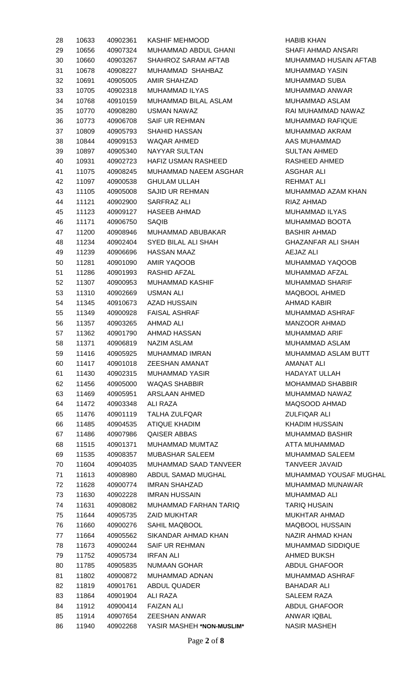| 28 | 10633 | 40902361 | KASHIF MEHMOOD             |
|----|-------|----------|----------------------------|
| 29 | 10656 | 40907324 | MUHAMMAD ABDUL GHANI       |
| 30 | 10660 | 40903267 | SHAHROZ SARAM AFTAB        |
| 31 | 10678 | 40908227 | MUHAMMAD SHAHBAZ           |
| 32 | 10691 | 40905005 | <b>AMIR SHAHZAD</b>        |
| 33 | 10705 | 40902318 | MUHAMMAD ILYAS             |
| 34 | 10768 | 40910159 | MUHAMMAD BILAL ASLAM       |
| 35 | 10770 | 40908280 | <b>USMAN NAWAZ</b>         |
| 36 | 10773 | 40906708 | <b>SAIF UR REHMAN</b>      |
| 37 | 10809 | 40905793 | SHAHID HASSAN              |
| 38 | 10844 | 40909153 | WAQAR AHMED                |
| 39 | 10897 | 40905340 | NAYYAR SULTAN              |
| 40 | 10931 | 40902723 | <b>HAFIZ USMAN RASHEED</b> |
| 41 | 11075 | 40908245 | MUHAMMAD NAEEM ASGHAR      |
| 42 | 11097 | 40900538 | <b>GHULAM ULLAH</b>        |
| 43 | 11105 | 40905008 | SAJID UR REHMAN            |
| 44 | 11121 | 40902900 | SARFRAZ ALI                |
| 45 | 11123 | 40909127 | HASEEB AHMAD               |
| 46 | 11171 | 40906750 | SAQIB                      |
| 47 | 11200 |          | 40908946 MUHAMMAD ABUBAKAR |
| 48 | 11234 | 40902404 | <b>SYED BILAL ALI SHAH</b> |
| 49 | 11239 | 40906696 | <b>HASSAN MAAZ</b>         |
| 50 | 11281 | 40901090 | AMIR YAQOOB                |
| 51 | 11286 | 40901993 | RASHID AFZAL               |
| 52 | 11307 | 40900953 | <b>MUHAMMAD KASHIF</b>     |
| 53 | 11310 | 40902669 | USMAN ALI                  |
| 54 | 11345 | 40910673 | AZAD HUSSAIN               |
| 55 | 11349 |          | 40900928 FAISAL ASHRAF     |
| 56 | 11357 | 40903265 | AHMAD ALI                  |
| 57 | 11362 |          | 40901790 AHMAD HASSAN      |
| 58 | 11371 | 40906819 | <b>NAZIM ASLAM</b>         |
| 59 | 11416 | 40905925 | <b>MUHAMMAD IMRAN</b>      |
| 60 | 11417 | 40901018 | <b>ZEESHAN AMANAT</b>      |
| 61 | 11430 | 40902315 | <b>MUHAMMAD YASIR</b>      |
| 62 | 11456 | 40905000 | <b>WAQAS SHABBIR</b>       |
| 63 | 11469 | 40905951 | <b>ARSLAAN AHMED</b>       |
| 64 | 11472 | 40903348 | <b>ALI RAZA</b>            |
| 65 | 11476 | 40901119 | <b>TALHA ZULFQAR</b>       |
| 66 | 11485 | 40904535 | <b>ATIQUE KHADIM</b>       |
| 67 | 11486 | 40907986 | <b>QAISER ABBAS</b>        |
| 68 | 11515 | 40901371 | MUHAMMAD MUMTAZ            |
| 69 | 11535 | 40908357 | <b>MUBASHAR SALEEM</b>     |
| 70 | 11604 | 40904035 | MUHAMMAD SAAD TANVEER      |
| 71 | 11613 | 40908980 | ABDUL SAMAD MUGHAL         |
| 72 | 11628 | 40900774 | <b>IMRAN SHAHZAD</b>       |
| 73 | 11630 | 40902228 | IMRAN HUSSAIN              |
| 74 | 11631 | 40908082 | MUHAMMAD FARHAN TARIQ      |
| 75 | 11644 | 40905735 | <b>ZAID MUKHTAR</b>        |
| 76 | 11660 | 40900276 | SAHIL MAQBOOL              |
| 77 | 11664 | 40905562 | SIKANDAR AHMAD KHAN        |
| 78 | 11673 | 40900244 | <b>SAIF UR REHMAN</b>      |
| 79 | 11752 | 40905734 | IRFAN ALI                  |
| 80 | 11785 | 40905835 | NUMAAN GOHAR               |
| 81 | 11802 | 40900872 | MUHAMMAD ADNAN             |
| 82 | 11819 | 40901761 | <b>ABDUL QUADER</b>        |
| 83 | 11864 | 40901904 | ALI RAZA                   |
| 84 | 11912 | 40900414 | <b>FAIZAN ALI</b>          |
| 85 | 11914 | 40907654 | <b>ZEESHAN ANWAR</b>       |
| 86 | 11940 | 40902268 | YASIR MASHEH *NON-MUSLIM*  |
|    |       |          |                            |

HABIB KHAN SHAFI AHMAD ANSARI MUHAMMAD HUSAIN AFTAB MUHAMMAD YASIN MUHAMMAD SUBA MUHAMMAD ANWAR MUHAMMAD ASLAM RAI MUHAMMAD NAWAZ MUHAMMAD RAFIQUE MUHAMMAD AKRAM AAS MUHAMMAD SULTAN AHMED RASHEED AHMED ASGHAR ALI REHMAT ALI MUHAMMAD AZAM KHAN RIAZ AHMAD MUHAMMAD ILYAS MUHAMMAD BOOTA BASHIR AHMAD GHAZANFAR ALI SHAH AEJAZ ALI MUHAMMAD YAQOOB MUHAMMAD AFZAL MUHAMMAD SHARIF MAQBOOL AHMED AHMAD KABIR MUHAMMAD ASHRAF MANZOOR AHMAD MUHAMMAD ARIF MUHAMMAD ASLAM MUHAMMAD ASLAM BUTT AMANAT ALI HADAYAT ULLAH MOHAMMAD SHABBIR MUHAMMAD NAWAZ MAQSOOD AHMAD ZULFIQAR ALI KHADIM HUSSAIN MUHAMMAD BASHIR **ATTA MUHAMMAD** MUHAMMAD SALEEM TANVEER JAVAID MUHAMMAD YOUSAF MUGHAL MUHAMMAD MUNAWAR MUHAMMAD ALI **TARIQ HUSAIN** MUKHTAR AHMAD MAQBOOL HUSSAIN NAZIR AHMAD KHAN MUHAMMAD SIDDIQUE AHMED BUKSH ABDUL GHAFOOR MUHAMMAD ASHRAF BAHADAR ALI SALEEM RAZA ABDUL GHAFOOR ANWAR IQBAL **NASIR MASHEH**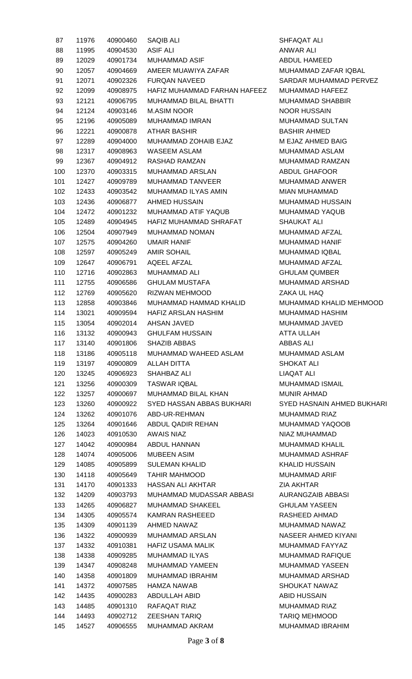| 87  | 11976 | 40900460 | <b>SAQIB ALI</b>             |
|-----|-------|----------|------------------------------|
| 88  | 11995 | 40904530 | <b>ASIF ALI</b>              |
| 89  | 12029 | 40901734 | MUHAMMAD ASIF                |
| 90  | 12057 | 40904669 | AMEER MUAWIYA ZAFAR          |
| 91  | 12071 | 40902326 | <b>FURQAN NAVEED</b>         |
| 92  | 12099 | 40908975 | HAFIZ MUHAMMAD FARHAN HAFEEZ |
| 93  | 12121 | 40906795 | MUHAMMAD BILAL BHATTI        |
| 94  | 12124 | 40903146 | <b>M.ASIM NOOR</b>           |
| 95  | 12196 | 40905089 | <b>MUHAMMAD IMRAN</b>        |
| 96  | 12221 | 40900878 | <b>ATHAR BASHIR</b>          |
| 97  | 12289 | 40904000 | MUHAMMAD ZOHAIB EJAZ         |
| 98  | 12317 | 40908963 | <b>WASEEM ASLAM</b>          |
| 99  | 12367 | 40904912 | RASHAD RAMZAN                |
| 100 | 12370 | 40903315 | MUHAMMAD ARSLAN              |
| 101 | 12427 | 40909789 | <b>MUHAMMAD TANVEER</b>      |
|     |       |          |                              |
| 102 | 12433 | 40903542 | MUHAMMAD ILYAS AMIN          |
| 103 | 12436 | 40906877 | <b>AHMED HUSSAIN</b>         |
| 104 | 12472 | 40901232 | MUHAMMAD ATIF YAQUB          |
| 105 | 12489 | 40904945 | HAFIZ MUHAMMAD SHRAFAT       |
| 106 | 12504 | 40907949 | <b>MUHAMMAD NOMAN</b>        |
| 107 | 12575 | 40904260 | UMAIR HANIF                  |
| 108 | 12597 | 40905249 | AMIR SOHAIL                  |
| 109 | 12647 | 40906791 | AQEEL AFZAL                  |
| 110 | 12716 | 40902863 | MUHAMMAD ALI                 |
| 111 | 12755 | 40906586 | <b>GHULAM MUSTAFA</b>        |
| 112 | 12769 | 40905620 | RIZWAN MEHMOOD               |
| 113 | 12858 | 40903846 | MUHAMMAD HAMMAD KHALID       |
| 114 | 13021 | 40909594 | HAFIZ ARSLAN HASHIM          |
| 115 | 13054 | 40902014 | AHSAN JAVED                  |
| 116 | 13132 | 40900943 | <b>GHULFAM HUSSAIN</b>       |
| 117 | 13140 | 40901806 | <b>SHAZIB ABBAS</b>          |
| 118 | 13186 | 40905118 | MUHAMMAD WAHEED ASLAM        |
| 119 | 13197 | 40900809 | ALLAH DITTA                  |
| 120 | 13245 | 40906923 | SHAHBAZ ALI                  |
| 121 | 13256 | 40900309 | <b>TASWAR IQBAL</b>          |
| 122 | 13257 | 40900697 | MUHAMMAD BILAL KHAN          |
| 123 | 13260 | 40900922 | SYED HASSAN ABBAS BUKHARI    |
| 124 | 13262 | 40901076 | ABD-UR-REHMAN                |
| 125 | 13264 | 40901646 | ABDUL QADIR REHAN            |
| 126 | 14023 | 40910530 | <b>AWAIS NIAZ</b>            |
| 127 | 14042 | 40900984 | ABDUL HANNAN                 |
| 128 | 14074 | 40905006 | <b>MUBEEN ASIM</b>           |
| 129 | 14085 | 40905899 | <b>SULEMAN KHALID</b>        |
| 130 | 14118 | 40905649 | TAHIR MAHMOOD                |
| 131 | 14170 | 40901333 | <b>HASSAN ALI AKHTAR</b>     |
| 132 | 14209 | 40903793 | MUHAMMAD MUDASSAR ABBASI     |
| 133 | 14265 | 40906827 | <b>MUHAMMAD SHAKEEL</b>      |
| 134 | 14305 | 40905574 | KAMRAN RASHEEED              |
| 135 | 14309 | 40901139 | AHMED NAWAZ                  |
| 136 | 14322 | 40900939 | <b>MUHAMMAD ARSLAN</b>       |
| 137 | 14332 | 40910381 | <b>HAFIZ USAMA MALIK</b>     |
| 138 | 14338 | 40909285 | MUHAMMAD ILYAS               |
| 139 | 14347 | 40908248 | <b>MUHAMMAD YAMEEN</b>       |
| 140 | 14358 | 40901809 | <b>MUHAMMAD IBRAHIM</b>      |
| 141 | 14372 | 40907585 | HAMZA NAWAB                  |
| 142 | 14435 | 40900283 | ABDULLAH ABID                |
| 143 | 14485 | 40901310 | RAFAQAT RIAZ                 |
| 144 | 14493 | 40902712 | <b>ZEESHAN TARIQ</b>         |
| 145 | 14527 | 40906555 | MUHAMMAD AKRAM               |
|     |       |          |                              |

SHFAQAT ALI ANWAR ALI ABDUL HAMEED MUHAMMAD ZAFAR IQBAL SARDAR MUHAMMAD PERVEZ MUHAMMAD HAFEEZ MUHAMMAD SHABBIR NOOR HUSSAIN MUHAMMAD SULTAN **BASHIR AHMED M EJAZ AHMED BAIG** MUHAMMAD ASLAM MUHAMMAD RAMZAN ABDUL GHAFOOR MUHAMMAD ANWER MIAN MUHAMMAD MUHAMMAD HUSSAIN MUHAMMAD YAQUB SHAUKAT ALI MUHAMMAD AFZAL MUHAMMAD HANIF MUHAMMAD IQBAL MUHAMMAD AFZAL **GHULAM QUMBER** MUHAMMAD ARSHAD **ZAKA UL HAQ** MUHAMMAD KHALID MEHMOOD MUHAMMAD HASHIM MUHAMMAD JAVED ATTA ULLAH **ABBAS ALI** MUHAMMAD ASLAM SHOKAT ALI LIAQAT ALI MUHAMMAD ISMAIL MUNIR AHMAD **SYED HASNAIN AHMED BUKHARI** MUHAMMAD RIAZ MUHAMMAD YAQOOB NIAZ MUHAMMAD MUHAMMAD KHALIL MUHAMMAD ASHRAF KHALID HUSSAIN MUHAMMAD ARIF **ZIA AKHTAR** AURANGZAIB ABBASI **GHULAM YASEEN** RASHEED AHMAD MUHAMMAD NAWAZ NASEER AHMED KIYANI MUHAMMAD FAYYAZ MUHAMMAD RAFIQUE MUHAMMAD YASEEN MUHAMMAD ARSHAD SHOUKAT NAWAZ **ABID HUSSAIN** MUHAMMAD RIAZ TARIQ MEHMOOD MUHAMMAD IBRAHIM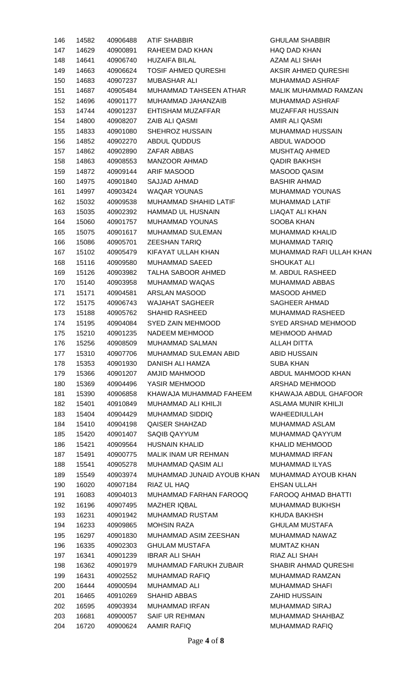| 146 | 14582 | 40906488 | ATIF SHABBIR               | <b>GHULAM SHABBIR</b>      |
|-----|-------|----------|----------------------------|----------------------------|
| 147 | 14629 | 40900891 | RAHEEM DAD KHAN            | HAQ DAD KHAN               |
| 148 | 14641 | 40906740 | <b>HUZAIFA BILAL</b>       | AZAM ALI SHAH              |
| 149 | 14663 | 40906624 | TOSIF AHMED QURESHI        | AKSIR AHMED QURESHI        |
| 150 | 14683 | 40907237 | MUBASHAR ALI               | MUHAMMAD ASHRAF            |
| 151 | 14687 | 40905484 | MUHAMMAD TAHSEEN ATHAR     | MALIK MUHAMMAD RAMZAN      |
| 152 | 14696 | 40901177 | MUHAMMAD JAHANZAIB         | MUHAMMAD ASHRAF            |
| 153 | 14744 | 40901237 | EHTISHAM MUZAFFAR          | MUZAFFAR HUSSAIN           |
|     |       |          | ZAIB ALI QASMI             | AMIR ALI QASMI             |
| 154 | 14800 | 40908207 |                            |                            |
| 155 | 14833 | 40901080 | SHEHROZ HUSSAIN            | MUHAMMAD HUSSAIN           |
| 156 | 14852 | 40902270 | ABDUL QUDDUS               | ABDUL WADOOD               |
| 157 | 14862 | 40902890 | ZAFAR ABBAS                | MUSHTAQ AHMED              |
| 158 | 14863 | 40908553 | MANZOOR AHMAD              | <b>QADIR BAKHSH</b>        |
| 159 | 14872 | 40909144 | ARIF MASOOD                | MASOOD QASIM               |
| 160 | 14975 | 40901840 | SAJJAD AHMAD               | <b>BASHIR AHMAD</b>        |
| 161 | 14997 | 40903424 | <b>WAQAR YOUNAS</b>        | MUHAMMAD YOUNAS            |
| 162 | 15032 | 40909538 | MUHAMMAD SHAHID LATIF      | MUHAMMAD LATIF             |
| 163 | 15035 | 40902392 | <b>HAMMAD UL HUSNAIN</b>   | LIAQAT ALI KHAN            |
| 164 | 15060 | 40901757 | MUHAMMAD YOUNAS            | SOOBA KHAN                 |
| 165 | 15075 | 40901617 | MUHAMMAD SULEMAN           | MUHAMMAD KHALID            |
| 166 | 15086 | 40905701 | ZEESHAN TARIQ              | <b>MUHAMMAD TARIQ</b>      |
| 167 | 15102 | 40905479 | KIFAYAT ULLAH KHAN         | MUHAMMAD RAFI ULLAH KHAN   |
| 168 | 15116 | 40909580 | MUHAMMAD SAEED             | <b>SHOUKAT ALI</b>         |
| 169 | 15126 | 40903982 | TALHA SABOOR AHMED         | M. ABDUL RASHEED           |
| 170 | 15140 | 40903958 | MUHAMMAD WAQAS             | MUHAMMAD ABBAS             |
| 171 | 15171 | 40904581 | ARSLAN MASOOD              | MASOOD AHMED               |
| 172 | 15175 | 40906743 | <b>WAJAHAT SAGHEER</b>     | <b>SAGHEER AHMAD</b>       |
| 173 | 15188 | 40905762 | <b>SHAHID RASHEED</b>      | <b>MUHAMMAD RASHEED</b>    |
| 174 | 15195 | 40904084 | SYED ZAIN MEHMOOD          | SYED ARSHAD MEHMOOD        |
|     | 15210 | 40901235 | NADEEM MEHMOOD             | MEHMOOD AHMAD              |
| 175 |       |          | <b>MUHAMMAD SALMAN</b>     |                            |
| 176 | 15256 | 40908509 |                            | <b>ALLAH DITTA</b>         |
| 177 | 15310 | 40907706 | MUHAMMAD SULEMAN ABID      | <b>ABID HUSSAIN</b>        |
| 178 | 15353 | 40901930 | DANISH ALI HAMZA           | <b>SUBA KHAN</b>           |
| 179 | 15366 | 40901207 | AMJID MAHMOOD              | ABDUL MAHMOOD KHAN         |
| 180 | 15369 | 40904496 | YASIR MEHMOOD              | ARSHAD MEHMOOD             |
| 181 | 15390 | 40906858 | KHAWAJA MUHAMMAD FAHEEM    | KHAWAJA ABDUL GHAFOOR      |
| 182 | 15401 | 40910849 | <b>MUHAMMAD ALI KHILJI</b> | <b>ASLAMA MUNIR KHILJI</b> |
| 183 | 15404 | 40904429 | MUHAMMAD SIDDIQ            | WAHEEDIULLAH               |
| 184 | 15410 | 40904198 | <b>QAISER SHAHZAD</b>      | MUHAMMAD ASLAM             |
| 185 | 15420 | 40901407 | SAQIB QAYYUM               | MUHAMMAD QAYYUM            |
| 186 | 15421 | 40909564 | <b>HUSNAIN KHALID</b>      | <b>KHALID MEHMOOD</b>      |
| 187 | 15491 | 40900775 | MALIK INAM UR REHMAN       | <b>MUHAMMAD IRFAN</b>      |
| 188 | 15541 | 40905278 | <b>MUHAMMAD QASIM ALI</b>  | <b>MUHAMMAD ILYAS</b>      |
| 189 | 15549 | 40903974 | MUHAMMAD JUNAID AYOUB KHAN | MUHAMMAD AYOUB KHAN        |
| 190 | 16020 | 40907184 | RIAZ UL HAQ                | <b>EHSAN ULLAH</b>         |
| 191 | 16083 | 40904013 | MUHAMMAD FARHAN FAROOQ     | FAROOQ AHMAD BHATTI        |
| 192 | 16196 | 40907495 | <b>MAZHER IQBAL</b>        | <b>MUHAMMAD BUKHSH</b>     |
| 193 | 16231 | 40901942 | MUHAMMAD RUSTAM            | KHUDA BAKHSH               |
| 194 | 16233 | 40909865 | <b>MOHSIN RAZA</b>         | <b>GHULAM MUSTAFA</b>      |
| 195 | 16297 | 40901830 | MUHAMMAD ASIM ZEESHAN      | MUHAMMAD NAWAZ             |
| 196 | 16335 | 40902303 | <b>GHULAM MUSTAFA</b>      | <b>MUMTAZ KHAN</b>         |
|     |       |          | <b>IBRAR ALI SHAH</b>      | RIAZ ALI SHAH              |
| 197 | 16341 | 40901239 | MUHAMMAD FARUKH ZUBAIR     | SHABIR AHMAD QURESHI       |
| 198 | 16362 | 40901979 |                            |                            |
| 199 | 16431 | 40902552 | MUHAMMAD RAFIQ             | MUHAMMAD RAMZAN            |
| 200 | 16444 | 40900594 | <b>MUHAMMAD ALI</b>        | <b>MUHAMMAD SHAFI</b>      |
| 201 | 16465 | 40910269 | <b>SHAHID ABBAS</b>        | <b>ZAHID HUSSAIN</b>       |
| 202 | 16595 | 40903934 | <b>MUHAMMAD IRFAN</b>      | <b>MUHAMMAD SIRAJ</b>      |
| 203 | 16681 | 40900057 | SAIF UR REHMAN             | MUHAMMAD SHAHBAZ           |
| 204 | 16720 | 40900624 | <b>AAMIR RAFIQ</b>         | MUHAMMAD RAFIQ             |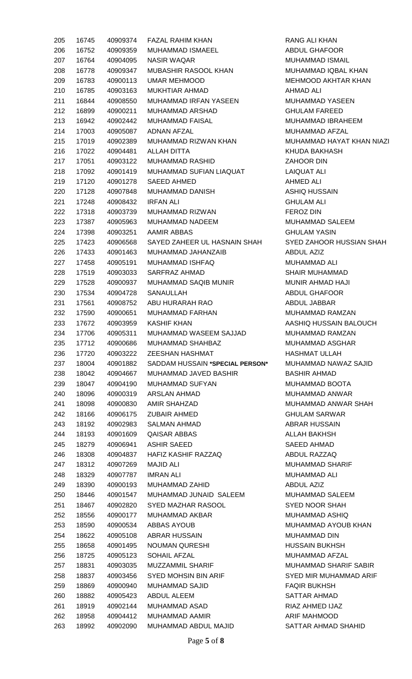| 205 | 16745 | 40909374 | FAZAL RAHIM KHAN              |
|-----|-------|----------|-------------------------------|
| 206 | 16752 | 40909359 | MUHAMMAD ISMAEEL              |
| 207 | 16764 | 40904095 | NASIR WAQAR                   |
| 208 | 16778 | 40909347 | MUBASHIR RASOOL KHAN          |
| 209 | 16783 | 40900113 | UMAR MEHMOOD                  |
| 210 | 16785 | 40903163 | MUKHTIAR AHMAD                |
| 211 | 16844 | 40908550 | MUHAMMAD IRFAN YASEEN         |
| 212 | 16899 | 40900211 | MUHAMMAD ARSHAD               |
| 213 | 16942 | 40902442 | <b>MUHAMMAD FAISAL</b>        |
| 214 | 17003 | 40905087 | ADNAN AFZAL                   |
| 215 | 17019 | 40902389 | MUHAMMAD RIZWAN KHAN          |
| 216 | 17022 | 40904481 | ALLAH DITTA                   |
| 217 | 17051 | 40903122 | MUHAMMAD RASHID               |
| 218 | 17092 | 40901419 | MUHAMMAD SUFIAN LIAQUAT       |
| 219 | 17120 | 40901278 | SAEED AHMED                   |
|     | 17128 | 40907848 | <b>MUHAMMAD DANISH</b>        |
| 220 |       |          |                               |
| 221 | 17248 | 40908432 | IRFAN ALI                     |
| 222 | 17318 | 40903739 | MUHAMMAD RIZWAN               |
| 223 | 17387 | 40905963 | MUHAMMAD NADEEM               |
| 224 | 17398 | 40903251 | AAMIR ABBAS                   |
| 225 | 17423 | 40906568 | SAYED ZAHEER UL HASNAIN SHAH  |
| 226 | 17433 | 40901463 | MUHAMMAD JAHANZAIB            |
| 227 | 17458 | 40905191 | MUHAMMAD ISHFAQ               |
| 228 | 17519 | 40903033 | SARFRAZ AHMAD                 |
| 229 | 17528 | 40900937 | <b>MUHAMMAD SAQIB MUNIR</b>   |
| 230 | 17534 | 40904728 | SANAULLAH                     |
| 231 | 17561 | 40908752 | ABU HURARAH RAO               |
| 232 | 17590 | 40900651 | MUHAMMAD FARHAN               |
| 233 | 17672 | 40903959 | KASHIF KHAN                   |
| 234 | 17706 | 40905311 | MUHAMMAD WASEEM SAJJAD        |
| 235 | 17712 | 40900686 | MUHAMMAD SHAHBAZ              |
| 236 | 17720 | 40903222 | <b>ZEESHAN HASHMAT</b>        |
| 237 | 18004 | 40901882 | SADDAM HUSSAIN *SPECIAL PERSO |
| 238 | 18042 | 40904667 | MUHAMMAD JAVED BASHIR         |
| 239 | 18047 | 40904190 | MUHAMMAD SUFYAN               |
| 240 | 18096 | 40900319 | ARSLAN AHMAD                  |
| 241 | 18098 | 40900830 | AMIR SHAHZAD                  |
| 242 | 18166 | 40906175 | <b>ZUBAIR AHMED</b>           |
| 243 | 18192 | 40902983 | SALMAN AHMAD                  |
| 244 | 18193 | 40901609 | <b>QAISAR ABBAS</b>           |
| 245 | 18279 | 40906941 | <b>ASHIR SAEED</b>            |
| 246 | 18308 | 40904837 | HAFIZ KASHIF RAZZAQ           |
| 247 | 18312 | 40907269 | <b>MAJID ALI</b>              |
| 248 | 18329 | 40907787 | IMRAN ALI                     |
| 249 | 18390 | 40900193 | MUHAMMAD ZAHID                |
| 250 | 18446 | 40901547 | MUHAMMAD JUNAID SALEEM        |
| 251 | 18467 | 40902820 | SYED MAZHAR RASOOL            |
| 252 | 18556 | 40900177 | MUHAMMAD AKBAR                |
| 253 | 18590 | 40900534 | ABBAS AYOUB                   |
| 254 | 18622 | 40905108 | ABRAR HUSSAIN                 |
| 255 | 18658 | 40901495 | <b>NOUMAN QURESHI</b>         |
| 256 | 18725 | 40905123 | SOHAIL AFZAL                  |
| 257 | 18831 | 40903035 | <b>MUZZAMMIL SHARIF</b>       |
| 258 | 18837 | 40903456 | <b>SYED MOHSIN BIN ARIF</b>   |
| 259 | 18869 | 40900940 | <b>MUHAMMAD SAJID</b>         |
| 260 | 18882 | 40905423 | ABDUL ALEEM                   |
| 261 | 18919 | 40902144 | MUHAMMAD ASAD                 |
| 262 | 18958 | 40904412 | <b>MUHAMMAD AAMIR</b>         |
| 263 | 18992 | 40902090 | MUHAMMAD ABDUL MAJID          |

RANG ALI KHAN ABDUL GHAFOOR MUHAMMAD ISMAIL MUHAMMAD IQBAL KHAN MEHMOOD AKHTAR KHAN AHMAD ALI MUHAMMAD YASEEN **GHULAM FAREED** MUHAMMAD IBRAHEEM MUHAMMAD AFZAL MUHAMMAD HAYAT KHAN NIAZI KHUDA BAKHASH ZAHOOR DIN LAIQUAT ALI AHMED ALI ASHIQ HUSSAIN **GHULAM ALI** FEROZ DIN MUHAMMAD SALEEM **GHULAM YASIN** SYED ZAHOOR HUSSIAN SHAH ABDUL AZIZ MUHAMMAD ALI SHAIR MUHAMMAD MUNIR AHMAD HAJI ABDUL GHAFOOR ABDUL JABBAR MUHAMMAD RAMZAN AASHIQ HUSSAIN BALOUCH MUHAMMAD RAMZAN MUHAMMAD ASGHAR HASHMAT ULLAH **N<sup>\*</sup>** MUHAMMAD NAWAZ SAJID BASHIR AHMAD MUHAMMAD BOOTA MUHAMMAD ANWAR MUHAMMAD ANWAR SHAH GHULAM SARWAR **ABRAR HUSSAIN** ALLAH BAKHSH SAEED AHMAD ABDUL RAZZAQ MUHAMMAD SHARIF MUHAMMAD ALI ABDUL AZIZ MUHAMMAD SALEEM SYED NOOR SHAH MUHAMMAD ASHIQ MUHAMMAD AYOUB KHAN MUHAMMAD DIN HUSSAIN BUKHSH MUHAMMAD AFZAL MUHAMMAD SHARIF SABIR SYED MIR MUHAMMAD ARIF **FAQIR BUKHSH** SATTAR AHMAD RIAZ AHMED IJAZ ARIF MAHMOOD SATTAR AHMAD SHAHID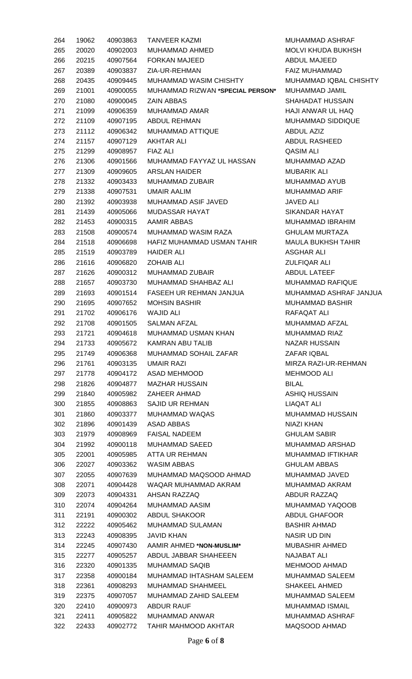| 264 | 19062 | 40903863 | <b>TANVEER KAZMI</b>             | <b>MUHA</b>  |
|-----|-------|----------|----------------------------------|--------------|
| 265 | 20020 | 40902003 | MUHAMMAD AHMED                   | <b>MOLV</b>  |
| 266 | 20215 | 40907564 | <b>FORKAN MAJEED</b>             | ABDU         |
| 267 | 20389 | 40903837 | ZIA-UR-REHMAN                    | <b>FAIZ</b>  |
| 268 | 20435 | 40909445 | <b>MUHAMMAD WASIM CHISHTY</b>    | <b>MUHA</b>  |
| 269 | 21001 | 40900055 | MUHAMMAD RIZWAN *SPECIAL PERSON* | <b>MUHA</b>  |
| 270 | 21080 | 40900045 | <b>ZAIN ABBAS</b>                | <b>SHAH</b>  |
| 271 | 21099 | 40906359 | <b>MUHAMMAD AMAR</b>             | HAJI /       |
| 272 | 21109 | 40907195 | <b>ABDUL REHMAN</b>              | <b>MUHA</b>  |
| 273 | 21112 | 40906342 | MUHAMMAD ATTIQUE                 | ABDU         |
| 274 | 21157 | 40907129 | AKHTAR ALI                       | ABDU         |
| 275 | 21299 | 40908957 | <b>FIAZ ALI</b>                  | QASIM        |
| 276 | 21306 | 40901566 | MUHAMMAD FAYYAZ UL HASSAN        | <b>MUHA</b>  |
| 277 | 21309 | 40909605 | <b>ARSLAN HAIDER</b>             | <b>MUBA</b>  |
|     | 21332 | 40903433 | <b>MUHAMMAD ZUBAIR</b>           | <b>MUHA</b>  |
| 278 |       |          |                                  |              |
| 279 | 21338 | 40907531 | <b>UMAIR AALIM</b>               | <b>MUHA</b>  |
| 280 | 21392 | 40903938 | <b>MUHAMMAD ASIF JAVED</b>       | <b>JAVEI</b> |
| 281 | 21439 | 40905066 | <b>MUDASSAR HAYAT</b>            | <b>SIKAN</b> |
| 282 | 21453 | 40900315 | AAMIR ABBAS                      | <b>MUHA</b>  |
| 283 | 21508 | 40900574 | MUHAMMAD WASIM RAZA              | <b>GHUL</b>  |
| 284 | 21518 | 40906698 | HAFIZ MUHAMMAD USMAN TAHIR       | <b>MAUL</b>  |
| 285 | 21519 | 40903789 | <b>HAIDER ALI</b>                | ASGH         |
| 286 | 21616 | 40906820 | <b>ZOHAIB ALI</b>                | <b>ZULFI</b> |
| 287 | 21626 | 40900312 | <b>MUHAMMAD ZUBAIR</b>           | ABDU         |
| 288 | 21657 | 40903730 | MUHAMMAD SHAHBAZ ALI             | <b>MUHA</b>  |
| 289 | 21693 | 40901514 | FASEEH UR REHMAN JANJUA          | <b>MUHA</b>  |
| 290 | 21695 | 40907652 | <b>MOHSIN BASHIR</b>             | <b>MUHA</b>  |
| 291 | 21702 | 40906176 | <b>WAJID ALI</b>                 | <b>RAFA</b>  |
| 292 | 21708 | 40901505 | <b>SALMAN AFZAL</b>              | MUHA         |
| 293 | 21721 | 40904618 | MUHAMMAD USMAN KHAN              | <b>MUHA</b>  |
| 294 | 21733 | 40905672 | <b>KAMRAN ABU TALIB</b>          | <b>NAZA</b>  |
| 295 | 21749 | 40906368 | MUHAMMAD SOHAIL ZAFAR            | <b>ZAFAI</b> |
| 296 | 21761 | 40903135 | <b>UMAIR RAZI</b>                | MIRZ/        |
| 297 | 21778 | 40904172 | <b>ASAD MEHMOOD</b>              | <b>MEHN</b>  |
| 298 | 21826 | 40904877 | <b>MAZHAR HUSSAIN</b>            | <b>BILAL</b> |
| 299 | 21840 | 40905982 | ZAHEER AHMAD                     | <b>ASHI</b>  |
| 300 | 21855 | 40908863 | <b>SAJID UR REHMAN</b>           | <b>LIAQA</b> |
| 301 | 21860 | 40903377 | <b>MUHAMMAD WAQAS</b>            | <b>MUHA</b>  |
| 302 | 21896 | 40901439 | <b>ASAD ABBAS</b>                | <b>NIAZI</b> |
| 303 | 21979 | 40908969 | <b>FAISAL NADEEM</b>             | <b>GHUL</b>  |
| 304 | 21992 | 40900118 | <b>MUHAMMAD SAEED</b>            | <b>MUHA</b>  |
| 305 | 22001 | 40905985 | <b>ATTA UR REHMAN</b>            | <b>MUHA</b>  |
| 306 | 22027 | 40903362 | <b>WASIM ABBAS</b>               | <b>GHUL</b>  |
| 307 | 22055 | 40907639 | MUHAMMAD MAQSOOD AHMAD           | <b>MUHA</b>  |
| 308 | 22071 | 40904428 | WAQAR MUHAMMAD AKRAM             | <b>MUHA</b>  |
| 309 | 22073 | 40904331 | AHSAN RAZZAQ                     | ABDU         |
| 310 | 22074 | 40904264 | MUHAMMAD AASIM                   | <b>MUHA</b>  |
| 311 | 22191 | 40900302 | <b>ABDUL SHAKOOR</b>             | ABDU         |
| 312 | 22222 | 40905462 | <b>MUHAMMAD SULAMAN</b>          | <b>BASH</b>  |
| 313 | 22243 | 40908395 | <b>JAVID KHAN</b>                | <b>NASIF</b> |
| 314 | 22245 | 40907430 | AAMIR AHMED *NON-MUSLIM*         | <b>MUBA</b>  |
| 315 | 22277 | 40905257 | ABDUL JABBAR SHAHEEEN            | <b>NAJAI</b> |
| 316 | 22320 | 40901335 | <b>MUHAMMAD SAQIB</b>            | <b>MEHN</b>  |
| 317 | 22358 | 40900184 | MUHAMMAD IHTASHAM SALEEM         | <b>MUHA</b>  |
| 318 | 22361 | 40908293 | <b>MUHAMMAD SHAHMEEL</b>         | <b>SHAK</b>  |
| 319 | 22375 | 40907057 | MUHAMMAD ZAHID SALEEM            | <b>MUHA</b>  |
| 320 | 22410 | 40900973 | <b>ABDUR RAUF</b>                | <b>MUHA</b>  |
| 321 | 22411 | 40905822 | <b>MUHAMMAD ANWAR</b>            | <b>MUHA</b>  |
| 322 | 22433 | 40902772 | TAHIR MAHMOOD AKHTAR             | <b>MAQS</b>  |

MUHAMMAD ASHRAF MOLVI KHUDA BUKHSH ABDUL MAJEED FAIZ MUHAMMAD MUHAMMAD IQBAL CHISHTY 269 21001 40900055 MUHAMMAD RIZWAN **\*SPECIAL PERSON\*** MUHAMMAD JAMIL SHAHADAT HUSSAIN HAJI ANWAR UL HAQ MUHAMMAD SIDDIQUE ABDUL AZIZ ABDUL RASHEED QASIM ALI MUHAMMAD AZAD MUBARIK ALI MUHAMMAD AYUB MUHAMMAD ARIF JAVED ALI SIKANDAR HAYAT MUHAMMAD IBRAHIM **GHULAM MURTAZA** MAULA BUKHSH TAHIR ASGHAR ALI ZULFIQAR ALI ABDUL LATEEF MUHAMMAD RAFIQUE MUHAMMAD ASHRAF JANJUA MUHAMMAD BASHIR RAFAQAT ALI MUHAMMAD AFZAL MUHAMMAD RIAZ NAZAR HUSSAIN ZAFAR IQBAL MIRZA RAZI-UR-REHMAN MEHMOOD ALI ASHIQ HUSSAIN LIAQAT ALI MUHAMMAD HUSSAIN NIAZI KHAN **GHULAM SABIR** MUHAMMAD ARSHAD MUHAMMAD IFTIKHAR **GHULAM ABBAS** MUHAMMAD JAVED MUHAMMAD AKRAM ABDUR RAZZAQ MUHAMMAD YAQOOB ABDUL GHAFOOR BASHIR AHMAD **NASIR UD DIN**  $MUBASHIR AHMED$ NAJABAT ALI MEHMOOD AHMAD MUHAMMAD SALEEM SHAKEEL AHMED MUHAMMAD SALEEM MUHAMMAD ISMAIL MUHAMMAD ASHRAF MAQSOOD AHMAD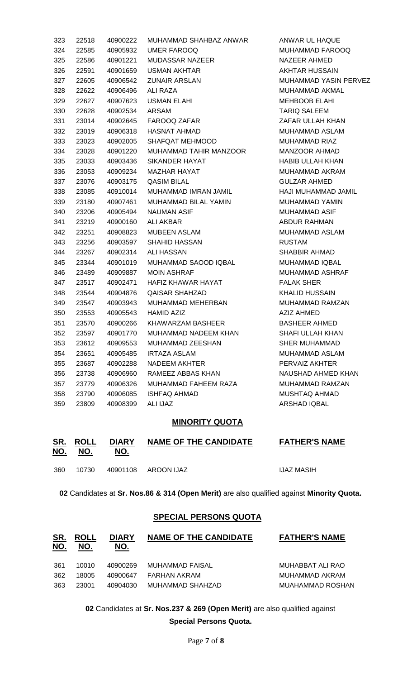| 323 | 22518 | 40900222 | MUHAMMAD SHAHBAZ ANWAR    | ANWAR UL HAQUE         |
|-----|-------|----------|---------------------------|------------------------|
| 324 | 22585 | 40905932 | <b>UMER FAROOQ</b>        | <b>MUHAMMAD FARC</b>   |
| 325 | 22586 | 40901221 | <b>MUDASSAR NAZEER</b>    | NAZEER AHMED           |
| 326 | 22591 | 40901659 | <b>USMAN AKHTAR</b>       | <b>AKHTAR HUSSAIN</b>  |
| 327 | 22605 | 40906542 | <b>ZUNAIR ARSLAN</b>      | <b>MUHAMMAD YASII</b>  |
| 328 | 22622 | 40906496 | ALI RAZA                  | <b>MUHAMMAD AKMA</b>   |
| 329 | 22627 | 40907623 | <b>USMAN ELAHI</b>        | <b>MEHBOOB ELAHI</b>   |
| 330 | 22628 | 40902534 | <b>ARSAM</b>              | <b>TARIQ SALEEM</b>    |
| 331 | 23014 | 40902645 | FAROOQ ZAFAR              | ZAFAR ULLAH KHA        |
| 332 | 23019 | 40906318 | <b>HASNAT AHMAD</b>       | MUHAMMAD ASLA          |
| 333 | 23023 | 40902005 | SHAFQAT MEHMOOD           | MUHAMMAD RIAZ          |
| 334 | 23028 | 40901220 | MUHAMMAD TAHIR MANZOOR    | <b>MANZOOR AHMAD</b>   |
| 335 | 23033 | 40903436 | SIKANDER HAYAT            | <b>HABIB ULLAH KHA</b> |
| 336 | 23053 | 40909234 | <b>MAZHAR HAYAT</b>       | MUHAMMAD AKRA          |
| 337 | 23076 | 40903175 | <b>QASIM BILAL</b>        | <b>GULZAR AHMED</b>    |
| 338 | 23085 | 40910014 | MUHAMMAD IMRAN JAMIL      | HAJI MUHAMMAD          |
| 339 | 23180 | 40907461 | MUHAMMAD BILAL YAMIN      | <b>MUHAMMAD YAMI</b>   |
| 340 | 23206 | 40905494 | <b>NAUMAN ASIF</b>        | <b>MUHAMMAD ASIF</b>   |
| 341 | 23219 | 40900160 | <b>ALI AKBAR</b>          | ABDUR RAHMAN           |
| 342 | 23251 | 40908823 | <b>MUBEEN ASLAM</b>       | <b>MUHAMMAD ASLA</b>   |
| 343 | 23256 | 40903597 | <b>SHAHID HASSAN</b>      | <b>RUSTAM</b>          |
| 344 | 23267 | 40902314 | <b>ALI HASSAN</b>         | SHABBIR AHMAD          |
| 345 | 23344 | 40901019 | MUHAMMAD SAOOD IQBAL      | <b>MUHAMMAD IQBA</b>   |
| 346 | 23489 | 40909887 | <b>MOIN ASHRAF</b>        | <b>MUHAMMAD ASHF</b>   |
| 347 | 23517 | 40902471 | <b>HAFIZ KHAWAR HAYAT</b> | <b>FALAK SHER</b>      |
| 348 | 23544 | 40904876 | <b>QAISAR SHAHZAD</b>     | <b>KHALID HUSSAIN</b>  |
| 349 | 23547 | 40903943 | MUHAMMAD MEHERBAN         | <b>MUHAMMAD RAMZ</b>   |
| 350 | 23553 | 40905543 | <b>HAMID AZIZ</b>         | <b>AZIZ AHMED</b>      |
| 351 | 23570 | 40900266 | KHAWARZAM BASHEER         | <b>BASHEER AHMED</b>   |
| 352 | 23597 | 40901770 | MUHAMMAD NADEEM KHAN      | <b>SHAFI ULLAH KHA</b> |
| 353 | 23612 | 40909553 | MUHAMMAD ZEESHAN          | <b>SHER MUHAMMAD</b>   |
| 354 | 23651 | 40905485 | <b>IRTAZA ASLAM</b>       | <b>MUHAMMAD ASLA</b>   |
| 355 | 23687 | 40902288 | <b>NADEEM AKHTER</b>      | PERVAIZ AKHTER         |
| 356 | 23738 | 40906960 | RAMEEZ ABBAS KHAN         | <b>NAUSHAD AHMED</b>   |
| 357 | 23779 | 40906326 | MUHAMMAD FAHEEM RAZA      | MUHAMMAD RAMZ          |
| 358 | 23790 | 40906085 | <b>ISHFAQ AHMAD</b>       | MUSHTAQ AHMAD          |
| 359 | 23809 | 40908399 | <b>ALI IJAZ</b>           | ARSHAD IQBAL           |

UL HAQUE  $\overline{3}$  24 AND FAROOQ MAD YASIN PERVEZ  $\overline{3}$  AKMAL **JLLAH KHAN**  $MAD$  ASLAM 334 23028 40901220 MUHAMMAD TAHIR MANZOOR MANZOOR AHMAD LLAH KHAN **JAD AKRAM** HAMMAD JAMIL 3<br>34 YAMIN **JAD ASLAM**  $\overline{3}$ **JAAD ASHRAF JAD RAMZAN** R AHMED LLAH KHAN UHAMMAD **JAD ASLAM** D AHMED KHAN **357 3388 2379 3389** Q AHMAD

#### **MINORITY QUOTA**

| <u>SR.</u><br><u>NO.</u> | <b>ROLL</b><br>NO. | <b>DIARY</b><br>NO. | <b>NAME OF THE CANDIDATE</b> | <b>FATHER'S NAME</b> |
|--------------------------|--------------------|---------------------|------------------------------|----------------------|
| 360                      | 10730              |                     | 40901108 AROON IJAZ          | <b>IJAZ MASIH</b>    |

**02** Candidates at **Sr. Nos.86 & 314 (Open Merit)** are also qualified against **Minority Quota.**

#### **SPECIAL PERSONS QUOTA**

| <u>SR.</u> | <b>ROLL</b> | <b>DIARY</b> | <b>NAME OF THE CANDIDATE</b> | <b>FATHER'S NAME</b> |
|------------|-------------|--------------|------------------------------|----------------------|
| <u>NO.</u> | NO.         | NO.          |                              |                      |
| 361        | 10010       | 40900269     | MUHAMMAD FAISAL              | MUHABBAT ALI RAO     |
| 362        | 18005       | 40900647     | FARHAN AKRAM                 | MUHAMMAD AKRAM       |
| 363        | 23001       | 40904030     | MUHAMMAD SHAHZAD             | MUAHAMMAD ROSHAN     |

**02** Candidates at **Sr. Nos.237 & 269 (Open Merit)** are also qualified against **Special Persons Quota.**